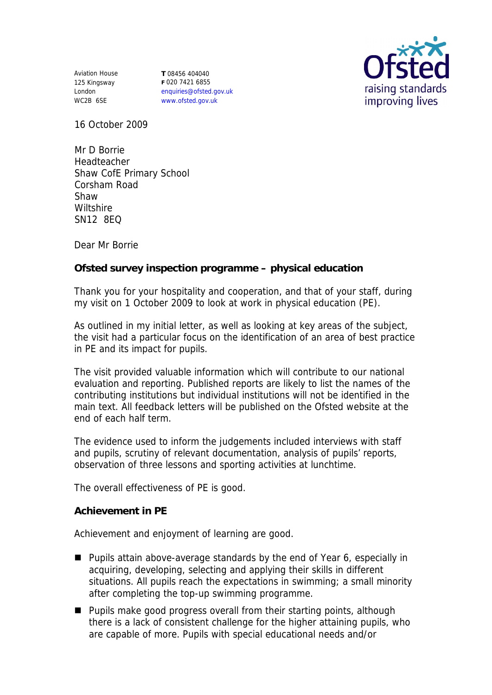Aviation House 125 Kingsway London WC2B 6SE

**T** 08456 404040 **F** 020 7421 6855 enquiries@ofsted.gov.uk www.ofsted.gov.uk



16 October 2009

Mr D Borrie Headteacher Shaw CofE Primary School Corsham Road Shaw **Wiltshire** SN12 8EQ

Dear Mr Borrie

**Ofsted survey inspection programme – physical education**

Thank you for your hospitality and cooperation, and that of your staff, during my visit on 1 October 2009 to look at work in physical education (PE).

As outlined in my initial letter, as well as looking at key areas of the subject, the visit had a particular focus on the identification of an area of best practice in PE and its impact for pupils.

The visit provided valuable information which will contribute to our national evaluation and reporting. Published reports are likely to list the names of the contributing institutions but individual institutions will not be identified in the main text. All feedback letters will be published on the Ofsted website at the end of each half term.

The evidence used to inform the judgements included interviews with staff and pupils, scrutiny of relevant documentation, analysis of pupils' reports, observation of three lessons and sporting activities at lunchtime.

The overall effectiveness of PE is good.

**Achievement in PE**

Achievement and enjoyment of learning are good.

- Pupils attain above-average standards by the end of Year 6, especially in acquiring, developing, selecting and applying their skills in different situations. All pupils reach the expectations in swimming; a small minority after completing the top-up swimming programme.
- **Pupils make good progress overall from their starting points, although** there is a lack of consistent challenge for the higher attaining pupils, who are capable of more. Pupils with special educational needs and/or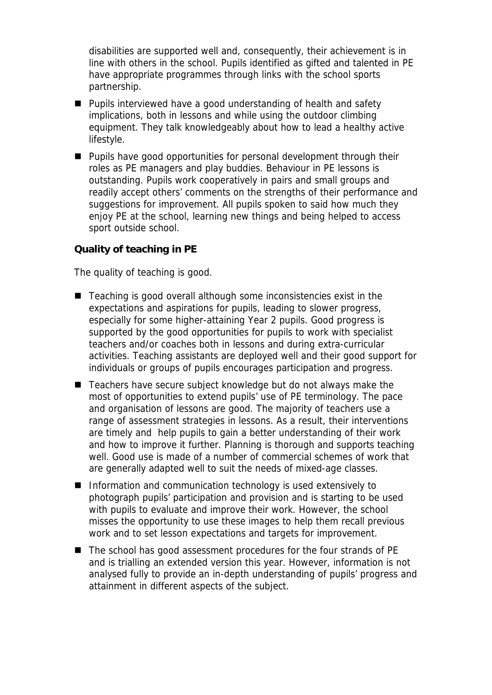disabilities are supported well and, consequently, their achievement is in line with others in the school. Pupils identified as gifted and talented in PE have appropriate programmes through links with the school sports partnership.

- **Pupils interviewed have a good understanding of health and safety** implications, both in lessons and while using the outdoor climbing equipment. They talk knowledgeably about how to lead a healthy active lifestyle.
- **Pupils have good opportunities for personal development through their** roles as PE managers and play buddies. Behaviour in PE lessons is outstanding. Pupils work cooperatively in pairs and small groups and readily accept others' comments on the strengths of their performance and suggestions for improvement. All pupils spoken to said how much they enjoy PE at the school, learning new things and being helped to access sport outside school.

## **Quality of teaching in PE**

The quality of teaching is good.

- Teaching is good overall although some inconsistencies exist in the expectations and aspirations for pupils, leading to slower progress, especially for some higher-attaining Year 2 pupils. Good progress is supported by the good opportunities for pupils to work with specialist teachers and/or coaches both in lessons and during extra-curricular activities. Teaching assistants are deployed well and their good support for individuals or groups of pupils encourages participation and progress.
- Teachers have secure subject knowledge but do not always make the most of opportunities to extend pupils' use of PE terminology. The pace and organisation of lessons are good. The majority of teachers use a range of assessment strategies in lessons. As a result, their interventions are timely and help pupils to gain a better understanding of their work and how to improve it further. Planning is thorough and supports teaching well. Good use is made of a number of commercial schemes of work that are generally adapted well to suit the needs of mixed-age classes.
- Information and communication technology is used extensively to photograph pupils' participation and provision and is starting to be used with pupils to evaluate and improve their work. However, the school misses the opportunity to use these images to help them recall previous work and to set lesson expectations and targets for improvement.
- The school has good assessment procedures for the four strands of PE and is trialling an extended version this year. However, information is not analysed fully to provide an in-depth understanding of pupils' progress and attainment in different aspects of the subject.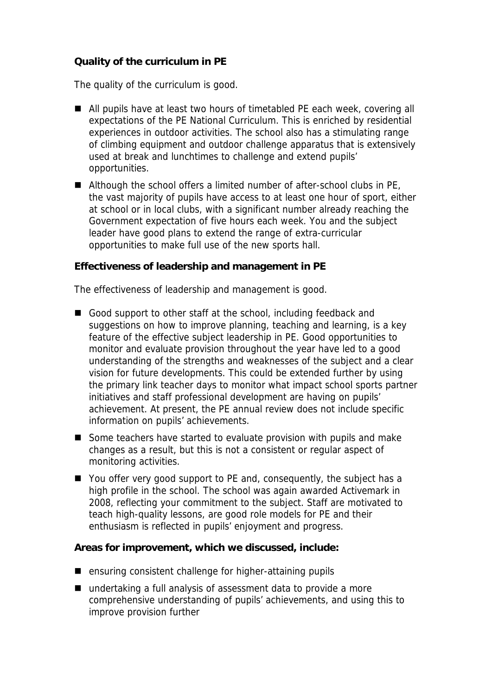## **Quality of the curriculum in PE**

The quality of the curriculum is good.

- All pupils have at least two hours of timetabled PE each week, covering all expectations of the PE National Curriculum. This is enriched by residential experiences in outdoor activities. The school also has a stimulating range of climbing equipment and outdoor challenge apparatus that is extensively used at break and lunchtimes to challenge and extend pupils' opportunities.
- Although the school offers a limited number of after-school clubs in PE, the vast majority of pupils have access to at least one hour of sport, either at school or in local clubs, with a significant number already reaching the Government expectation of five hours each week. You and the subject leader have good plans to extend the range of extra-curricular opportunities to make full use of the new sports hall.

**Effectiveness of leadership and management in PE**

The effectiveness of leadership and management is good.

- Good support to other staff at the school, including feedback and suggestions on how to improve planning, teaching and learning, is a key feature of the effective subject leadership in PE. Good opportunities to monitor and evaluate provision throughout the year have led to a good understanding of the strengths and weaknesses of the subject and a clear vision for future developments. This could be extended further by using the primary link teacher days to monitor what impact school sports partner initiatives and staff professional development are having on pupils' achievement. At present, the PE annual review does not include specific information on pupils' achievements.
- Some teachers have started to evaluate provision with pupils and make changes as a result, but this is not a consistent or regular aspect of monitoring activities.
- You offer very good support to PE and, consequently, the subject has a high profile in the school. The school was again awarded Activemark in 2008, reflecting your commitment to the subject. Staff are motivated to teach high-quality lessons, are good role models for PE and their enthusiasm is reflected in pupils' enjoyment and progress.

**Areas for improvement, which we discussed, include:**

- ensuring consistent challenge for higher-attaining pupils
- undertaking a full analysis of assessment data to provide a more comprehensive understanding of pupils' achievements, and using this to improve provision further